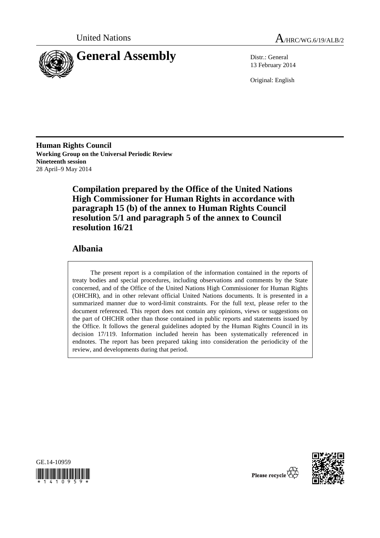



13 February 2014

Original: English

**Human Rights Council Working Group on the Universal Periodic Review Nineteenth session**  28 April–9 May 2014

> **Compilation prepared by the Office of the United Nations High Commissioner for Human Rights in accordance with paragraph 15 (b) of the annex to Human Rights Council resolution 5/1 and paragraph 5 of the annex to Council resolution 16/21**

# **Albania**

The present report is a compilation of the information contained in the reports of treaty bodies and special procedures, including observations and comments by the State concerned, and of the Office of the United Nations High Commissioner for Human Rights (OHCHR), and in other relevant official United Nations documents. It is presented in a summarized manner due to word-limit constraints. For the full text, please refer to the document referenced. This report does not contain any opinions, views or suggestions on the part of OHCHR other than those contained in public reports and statements issued by the Office. It follows the general guidelines adopted by the Human Rights Council in its decision 17/119. Information included herein has been systematically referenced in endnotes. The report has been prepared taking into consideration the periodicity of the review, and developments during that period.





Please recycle  $\vec{\mathbf{\nabla}}$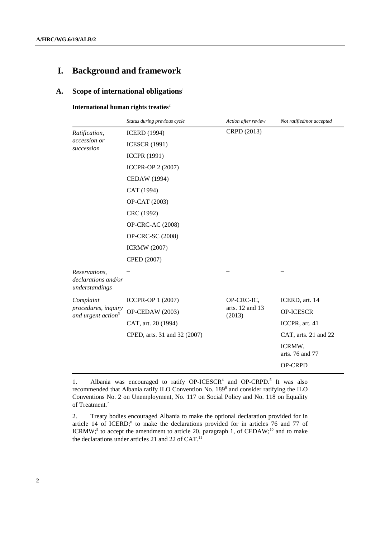# **I. Background and framework**

# **A. Scope of international obligations**<sup>1</sup>

**International human rights treaties**<sup>2</sup>

|                                                        | Status during previous cycle | Action after review       | Not ratified/not accepted |
|--------------------------------------------------------|------------------------------|---------------------------|---------------------------|
| Ratification,<br>accession or<br>succession            | <b>ICERD</b> (1994)          | CRPD (2013)               |                           |
|                                                        | <b>ICESCR (1991)</b>         |                           |                           |
|                                                        | <b>ICCPR (1991)</b>          |                           |                           |
|                                                        | ICCPR-OP 2 (2007)            |                           |                           |
|                                                        | CEDAW (1994)                 |                           |                           |
|                                                        | CAT (1994)                   |                           |                           |
|                                                        | OP-CAT (2003)                |                           |                           |
|                                                        | CRC (1992)                   |                           |                           |
|                                                        | OP-CRC-AC (2008)             |                           |                           |
|                                                        | OP-CRC-SC (2008)             |                           |                           |
|                                                        | <b>ICRMW</b> (2007)          |                           |                           |
|                                                        | CPED (2007)                  |                           |                           |
| Reservations,<br>declarations and/or<br>understandings |                              |                           |                           |
| Complaint                                              | ICCPR-OP 1 (2007)            | OP-CRC-IC,                | ICERD, art. 14            |
| procedures, inquiry<br>and urgent action <sup>3</sup>  | OP-CEDAW (2003)              | arts. 12 and 13<br>(2013) | OP-ICESCR                 |
|                                                        | CAT, art. 20 (1994)          |                           | ICCPR, art. 41            |
|                                                        | CPED, arts. 31 and 32 (2007) |                           | CAT, arts. 21 and 22      |
|                                                        |                              |                           | ICRMW,<br>arts. 76 and 77 |
|                                                        |                              |                           | OP-CRPD                   |

<sup>1.</sup> Albania was encouraged to ratify OP-ICESCR<sup>4</sup> and OP-CRPD.<sup>5</sup> It was also recommended that Albania ratify ILO Convention No. 189<sup>6</sup> and consider ratifying the ILO Conventions No. 2 on Unemployment, No. 117 on Social Policy and No. 118 on Equality of Treatment.<sup>7</sup>

<sup>2.</sup> Treaty bodies encouraged Albania to make the optional declaration provided for in article 14 of ICERD;<sup>8</sup> to make the declarations provided for in articles 76 and 77 of ICRMW;<sup>9</sup> to accept the amendment to article 20, paragraph 1, of CEDAW;<sup>10</sup> and to make the declarations under articles 21 and 22 of CAT.11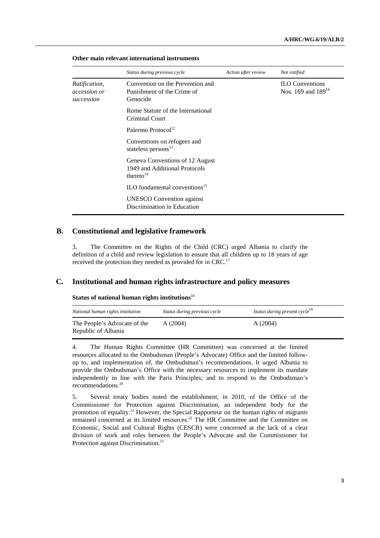|                                             | Status during previous cycle                                                              | Action after review | Not ratified                                      |
|---------------------------------------------|-------------------------------------------------------------------------------------------|---------------------|---------------------------------------------------|
| Ratification,<br>accession or<br>succession | Convention on the Prevention and<br>Punishment of the Crime of<br>Genocide                |                     | <b>ILO</b> Conventions<br>Nos. 169 and $189^{16}$ |
|                                             | Rome Statute of the International<br>Criminal Court                                       |                     |                                                   |
|                                             | Palermo Protocol <sup>12</sup>                                                            |                     |                                                   |
|                                             | Conventions on refugees and<br>stateless persons <sup>13</sup>                            |                     |                                                   |
|                                             | Geneva Conventions of 12 August<br>1949 and Additional Protocols<br>thereto <sup>14</sup> |                     |                                                   |
|                                             | ILO fundamental conventions $15$                                                          |                     |                                                   |
|                                             | <b>UNESCO</b> Convention against<br>Discrimination in Education                           |                     |                                                   |

#### **Other main relevant international instruments**

#### **B. Constitutional and legislative framework**

3. The Committee on the Rights of the Child (CRC) urged Albania to clarify the definition of a child and review legislation to ensure that all children up to 18 years of age received the protection they needed as provided for in CRC.<sup>17</sup>

## **C. Institutional and human rights infrastructure and policy measures**

#### **Status of national human rights institutions**<sup>18</sup>

| National human rights institution                   | Status during previous cycle | Status during present cycle <sup>19</sup> |
|-----------------------------------------------------|------------------------------|-------------------------------------------|
| The People's Advocate of the<br>Republic of Albania | A(2004)                      | A(2004)                                   |

4. The Human Rights Committee (HR Committee) was concerned at the limited resources allocated to the Ombudsman (People's Advocate) Office and the limited followup to, and implementation of, the Ombudsman's recommendations. It urged Albania to provide the Ombudsman's Office with the necessary resources to implement its mandate independently in line with the Paris Principles; and to respond to the Ombudsman's recommendations.20

5. Several treaty bodies noted the establishment, in 2010, of the Office of the Commissioner for Protection against Discrimination, an independent body for the promotion of equality.21 However, the Special Rapporteur on the human rights of migrants remained concerned at its limited resources.22 The HR Committee and the Committee on Economic, Social and Cultural Rights (CESCR) were concerned at the lack of a clear division of work and roles between the People's Advocate and the Commissioner for Protection against Discrimination.<sup>23</sup>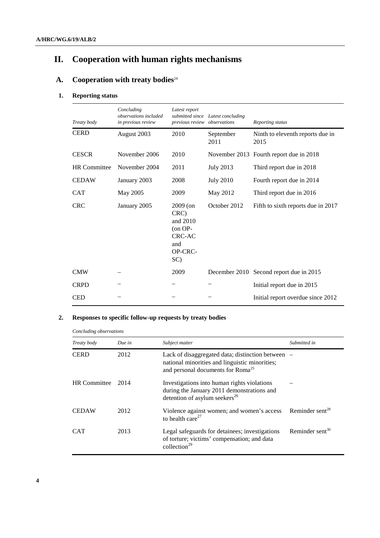# **II. Cooperation with human rights mechanisms**

# **A.** Cooperation with treaty bodies<sup>24</sup>

# **1. Reporting status**

| Treaty body         | Concluding<br>observations included<br>in previous review | Latest report<br>previous review observations                                 | submitted since Latest concluding | Reporting status                         |
|---------------------|-----------------------------------------------------------|-------------------------------------------------------------------------------|-----------------------------------|------------------------------------------|
| <b>CERD</b>         | August 2003                                               | 2010                                                                          | September<br>2011                 | Ninth to eleventh reports due in<br>2015 |
| <b>CESCR</b>        | November 2006                                             | 2010                                                                          |                                   | November 2013 Fourth report due in 2018  |
| <b>HR</b> Committee | November 2004                                             | 2011                                                                          | <b>July 2013</b>                  | Third report due in 2018                 |
| <b>CEDAW</b>        | January 2003                                              | 2008                                                                          | <b>July 2010</b>                  | Fourth report due in 2014                |
| <b>CAT</b>          | May 2005                                                  | 2009                                                                          | May 2012                          | Third report due in 2016                 |
| <b>CRC</b>          | January 2005                                              | 2009 (on<br>CRC)<br>and 2010<br>$($ on OP-<br>CRC-AC<br>and<br>OP-CRC-<br>SC) | October 2012                      | Fifth to sixth reports due in 2017       |
| <b>CMW</b>          |                                                           | 2009                                                                          |                                   | December 2010 Second report due in 2015  |
| <b>CRPD</b>         |                                                           |                                                                               |                                   | Initial report due in 2015               |
| <b>CED</b>          |                                                           |                                                                               |                                   | Initial report overdue since 2012        |

# **2. Responses to specific follow-up requests by treaty bodies**

*Concluding observations* 

| Treaty body         | Due in | Subject matter                                                                                                                                     | Submitted in                |
|---------------------|--------|----------------------------------------------------------------------------------------------------------------------------------------------------|-----------------------------|
| <b>CERD</b>         | 2012   | Lack of disaggregated data; distinction between<br>national minorities and linguistic minorities;<br>and personal documents for Roma <sup>25</sup> |                             |
| <b>HR</b> Committee | 2014   | Investigations into human rights violations<br>during the January 2011 demonstrations and<br>detention of asylum seekers <sup>26</sup>             |                             |
| <b>CEDAW</b>        | 2012   | Violence against women; and women's access<br>to health care $^{27}$                                                                               | Reminder sent <sup>28</sup> |
| CAT                 | 2013   | Legal safeguards for detainees; investigations<br>of torture; victims' compensation; and data<br>collection $^{29}$                                | Reminder sent $30$          |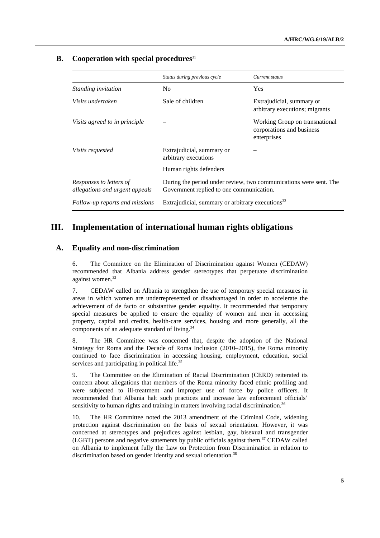# **B.** Cooperation with special procedures<sup>31</sup>

|                                                           | Status during previous cycle                                                                                  | Current status                                                             |
|-----------------------------------------------------------|---------------------------------------------------------------------------------------------------------------|----------------------------------------------------------------------------|
| Standing invitation                                       | No                                                                                                            | <b>Yes</b>                                                                 |
| Visits undertaken                                         | Sale of children                                                                                              | Extrajudicial, summary or<br>arbitrary executions; migrants                |
| Visits agreed to in principle                             |                                                                                                               | Working Group on transnational<br>corporations and business<br>enterprises |
| <i>Visits requested</i>                                   | Extrajudicial, summary or<br>arbitrary executions                                                             |                                                                            |
|                                                           | Human rights defenders                                                                                        |                                                                            |
| Responses to letters of<br>allegations and urgent appeals | During the period under review, two communications were sent. The<br>Government replied to one communication. |                                                                            |
| Follow-up reports and missions                            | Extrajudicial, summary or arbitrary executions $32$                                                           |                                                                            |

# **III. Implementation of international human rights obligations**

# **A. Equality and non-discrimination**

6. The Committee on the Elimination of Discrimination against Women (CEDAW) recommended that Albania address gender stereotypes that perpetuate discrimination against women.<sup>33</sup>

7. CEDAW called on Albania to strengthen the use of temporary special measures in areas in which women are underrepresented or disadvantaged in order to accelerate the achievement of de facto or substantive gender equality. It recommended that temporary special measures be applied to ensure the equality of women and men in accessing property, capital and credits, health-care services, housing and more generally, all the components of an adequate standard of living.<sup>34</sup>

8. The HR Committee was concerned that, despite the adoption of the National Strategy for Roma and the Decade of Roma Inclusion (2010–2015), the Roma minority continued to face discrimination in accessing housing, employment, education, social services and participating in political life.<sup>35</sup>

9. The Committee on the Elimination of Racial Discrimination (CERD) reiterated its concern about allegations that members of the Roma minority faced ethnic profiling and were subjected to ill-treatment and improper use of force by police officers. It recommended that Albania halt such practices and increase law enforcement officials' sensitivity to human rights and training in matters involving racial discrimination.<sup>36</sup>

10. The HR Committee noted the 2013 amendment of the Criminal Code, widening protection against discrimination on the basis of sexual orientation. However, it was concerned at stereotypes and prejudices against lesbian, gay, bisexual and transgender (LGBT) persons and negative statements by public officials against them. $37$  CEDAW called on Albania to implement fully the Law on Protection from Discrimination in relation to discrimination based on gender identity and sexual orientation.<sup>38</sup>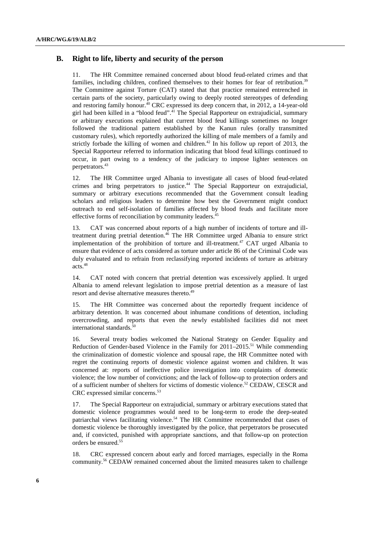# **B. Right to life, liberty and security of the person**

11. The HR Committee remained concerned about blood feud-related crimes and that families, including children, confined themselves to their homes for fear of retribution.<sup>39</sup> The Committee against Torture (CAT) stated that that practice remained entrenched in certain parts of the society, particularly owing to deeply rooted stereotypes of defending and restoring family honour.<sup>40</sup> CRC expressed its deep concern that, in 2012, a 14-year-old girl had been killed in a "blood feud".41 The Special Rapporteur on extrajudicial, summary or arbitrary executions explained that current blood feud killings sometimes no longer followed the traditional pattern established by the Kanun rules (orally transmitted customary rules), which reportedly authorized the killing of male members of a family and strictly forbade the killing of women and children.<sup>42</sup> In his follow up report of 2013, the Special Rapporteur referred to information indicating that blood feud killings continued to occur, in part owing to a tendency of the judiciary to impose lighter sentences on perpetrators.43

12. The HR Committee urged Albania to investigate all cases of blood feud-related crimes and bring perpetrators to justice.44 The Special Rapporteur on extrajudicial, summary or arbitrary executions recommended that the Government consult leading scholars and religious leaders to determine how best the Government might conduct outreach to end self-isolation of families affected by blood feuds and facilitate more effective forms of reconciliation by community leaders.<sup>45</sup>

13. CAT was concerned about reports of a high number of incidents of torture and illtreatment during pretrial detention. $46$  The HR Committee urged Albania to ensure strict implementation of the prohibition of torture and ill-treatment.47 CAT urged Albania to ensure that evidence of acts considered as torture under article 86 of the Criminal Code was duly evaluated and to refrain from reclassifying reported incidents of torture as arbitrary acts.48

14. CAT noted with concern that pretrial detention was excessively applied. It urged Albania to amend relevant legislation to impose pretrial detention as a measure of last resort and devise alternative measures thereto.<sup>49</sup>

15. The HR Committee was concerned about the reportedly frequent incidence of arbitrary detention. It was concerned about inhumane conditions of detention, including overcrowding, and reports that even the newly established facilities did not meet international standards.<sup>50</sup>

16. Several treaty bodies welcomed the National Strategy on Gender Equality and Reduction of Gender-based Violence in the Family for  $2011-2015$ .<sup>51</sup> While commending the criminalization of domestic violence and spousal rape, the HR Committee noted with regret the continuing reports of domestic violence against women and children. It was concerned at: reports of ineffective police investigation into complaints of domestic violence; the low number of convictions; and the lack of follow-up to protection orders and of a sufficient number of shelters for victims of domestic violence.<sup>52</sup> CEDAW, CESCR and CRC expressed similar concerns.<sup>53</sup>

17. The Special Rapporteur on extrajudicial, summary or arbitrary executions stated that domestic violence programmes would need to be long-term to erode the deep-seated patriarchal views facilitating violence.54 The HR Committee recommended that cases of domestic violence be thoroughly investigated by the police, that perpetrators be prosecuted and, if convicted, punished with appropriate sanctions, and that follow-up on protection orders be ensured.55

18. CRC expressed concern about early and forced marriages, especially in the Roma community.56 CEDAW remained concerned about the limited measures taken to challenge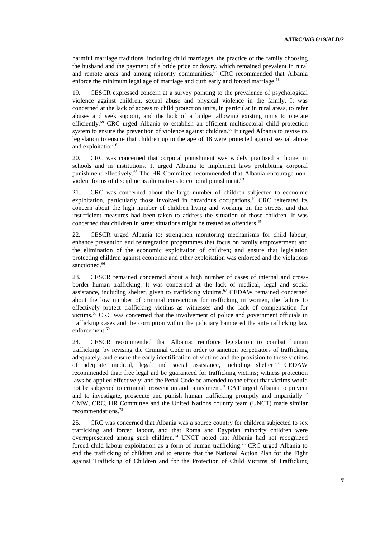harmful marriage traditions, including child marriages, the practice of the family choosing the husband and the payment of a bride price or dowry, which remained prevalent in rural and remote areas and among minority communities.<sup>57</sup> CRC recommended that Albania enforce the minimum legal age of marriage and curb early and forced marriage.<sup>58</sup>

19. CESCR expressed concern at a survey pointing to the prevalence of psychological violence against children, sexual abuse and physical violence in the family. It was concerned at the lack of access to child protection units, in particular in rural areas, to refer abuses and seek support, and the lack of a budget allowing existing units to operate efficiently.59 CRC urged Albania to establish an efficient multisectoral child protection system to ensure the prevention of violence against children.<sup>60</sup> It urged Albania to revise its legislation to ensure that children up to the age of 18 were protected against sexual abuse and exploitation.<sup>61</sup>

20. CRC was concerned that corporal punishment was widely practised at home, in schools and in institutions. It urged Albania to implement laws prohibiting corporal punishment effectively.62 The HR Committee recommended that Albania encourage nonviolent forms of discipline as alternatives to corporal punishment.<sup>63</sup>

21. CRC was concerned about the large number of children subjected to economic exploitation, particularly those involved in hazardous occupations.<sup>64</sup> CRC reiterated its concern about the high number of children living and working on the streets, and that insufficient measures had been taken to address the situation of those children. It was concerned that children in street situations might be treated as offenders.<sup>65</sup>

22. CESCR urged Albania to: strengthen monitoring mechanisms for child labour; enhance prevention and reintegration programmes that focus on family empowerment and the elimination of the economic exploitation of children; and ensure that legislation protecting children against economic and other exploitation was enforced and the violations sanctioned.<sup>66</sup>

23. CESCR remained concerned about a high number of cases of internal and crossborder human trafficking. It was concerned at the lack of medical, legal and social assistance, including shelter, given to trafficking victims.<sup>67</sup> CEDAW remained concerned about the low number of criminal convictions for trafficking in women, the failure to effectively protect trafficking victims as witnesses and the lack of compensation for victims.68 CRC was concerned that the involvement of police and government officials in trafficking cases and the corruption within the judiciary hampered the anti-trafficking law enforcement.<sup>69</sup>

24. CESCR recommended that Albania: reinforce legislation to combat human trafficking, by revising the Criminal Code in order to sanction perpetrators of trafficking adequately, and ensure the early identification of victims and the provision to those victims of adequate medical, legal and social assistance, including shelter.<sup>70</sup> CEDAW recommended that: free legal aid be guaranteed for trafficking victims; witness protection laws be applied effectively; and the Penal Code be amended to the effect that victims would not be subjected to criminal prosecution and punishment.<sup>71</sup> CAT urged Albania to prevent and to investigate, prosecute and punish human trafficking promptly and impartially.<sup>72</sup> CMW, CRC, HR Committee and the United Nations country team (UNCT) made similar recommendations.73

25. CRC was concerned that Albania was a source country for children subjected to sex trafficking and forced labour, and that Roma and Egyptian minority children were overrepresented among such children.74 UNCT noted that Albania had not recognized forced child labour exploitation as a form of human trafficking.<sup>75</sup> CRC urged Albania to end the trafficking of children and to ensure that the National Action Plan for the Fight against Trafficking of Children and for the Protection of Child Victims of Trafficking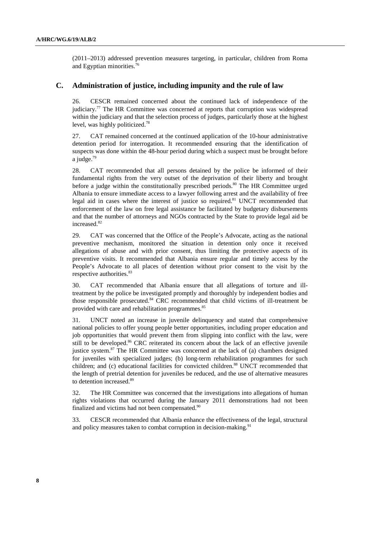(2011–2013) addressed prevention measures targeting, in particular, children from Roma and Egyptian minorities.76

# **C. Administration of justice, including impunity and the rule of law**

26. CESCR remained concerned about the continued lack of independence of the judiciary.<sup>77</sup> The HR Committee was concerned at reports that corruption was widespread within the judiciary and that the selection process of judges, particularly those at the highest level, was highly politicized.78

27. CAT remained concerned at the continued application of the 10-hour administrative detention period for interrogation. It recommended ensuring that the identification of suspects was done within the 48-hour period during which a suspect must be brought before a judge.79

28. CAT recommended that all persons detained by the police be informed of their fundamental rights from the very outset of the deprivation of their liberty and brought before a judge within the constitutionally prescribed periods.<sup>80</sup> The HR Committee urged Albania to ensure immediate access to a lawyer following arrest and the availability of free legal aid in cases where the interest of justice so required.<sup>81</sup> UNCT recommended that enforcement of the law on free legal assistance be facilitated by budgetary disbursements and that the number of attorneys and NGOs contracted by the State to provide legal aid be increased.82

29. CAT was concerned that the Office of the People's Advocate, acting as the national preventive mechanism, monitored the situation in detention only once it received allegations of abuse and with prior consent, thus limiting the protective aspects of its preventive visits. It recommended that Albania ensure regular and timely access by the People's Advocate to all places of detention without prior consent to the visit by the respective authorities.<sup>83</sup>

30. CAT recommended that Albania ensure that all allegations of torture and illtreatment by the police be investigated promptly and thoroughly by independent bodies and those responsible prosecuted.84 CRC recommended that child victims of ill-treatment be provided with care and rehabilitation programmes.<sup>85</sup>

31. UNCT noted an increase in juvenile delinquency and stated that comprehensive national policies to offer young people better opportunities, including proper education and job opportunities that would prevent them from slipping into conflict with the law, were still to be developed.<sup>86</sup> CRC reiterated its concern about the lack of an effective juvenile justice system. $87$  The HR Committee was concerned at the lack of (a) chambers designed for juveniles with specialized judges; (b) long-term rehabilitation programmes for such children; and (c) educational facilities for convicted children.<sup>88</sup> UNCT recommended that the length of pretrial detention for juveniles be reduced, and the use of alternative measures to detention increased.<sup>89</sup>

32. The HR Committee was concerned that the investigations into allegations of human rights violations that occurred during the January 2011 demonstrations had not been finalized and victims had not been compensated.<sup>90</sup>

33. CESCR recommended that Albania enhance the effectiveness of the legal, structural and policy measures taken to combat corruption in decision-making.<sup>91</sup>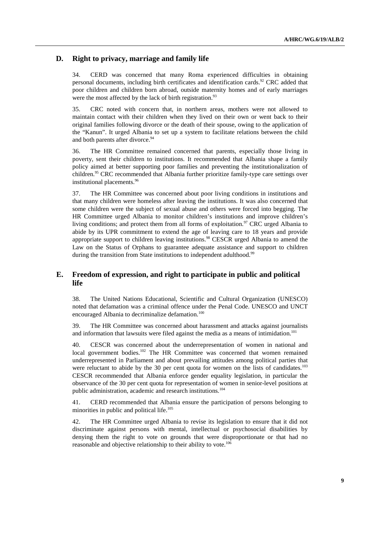# **D. Right to privacy, marriage and family life**

34. CERD was concerned that many Roma experienced difficulties in obtaining personal documents, including birth certificates and identification cards.<sup>92</sup> CRC added that poor children and children born abroad, outside maternity homes and of early marriages were the most affected by the lack of birth registration.<sup>93</sup>

35. CRC noted with concern that, in northern areas, mothers were not allowed to maintain contact with their children when they lived on their own or went back to their original families following divorce or the death of their spouse, owing to the application of the "Kanun". It urged Albania to set up a system to facilitate relations between the child and both parents after divorce.<sup>94</sup>

36. The HR Committee remained concerned that parents, especially those living in poverty, sent their children to institutions. It recommended that Albania shape a family policy aimed at better supporting poor families and preventing the institutionalization of children.<sup>95</sup> CRC recommended that Albania further prioritize family-type care settings over institutional placements.<sup>96</sup>

37. The HR Committee was concerned about poor living conditions in institutions and that many children were homeless after leaving the institutions. It was also concerned that some children were the subject of sexual abuse and others were forced into begging. The HR Committee urged Albania to monitor children's institutions and improve children's living conditions; and protect them from all forms of exploitation.<sup>97</sup> CRC urged Albania to abide by its UPR commitment to extend the age of leaving care to 18 years and provide appropriate support to children leaving institutions.<sup>98</sup> CESCR urged Albania to amend the Law on the Status of Orphans to guarantee adequate assistance and support to children during the transition from State institutions to independent adulthood.<sup>99</sup>

# **E. Freedom of expression, and right to participate in public and political life**

38. The United Nations Educational, Scientific and Cultural Organization (UNESCO) noted that defamation was a criminal offence under the Penal Code. UNESCO and UNCT encouraged Albania to decriminalize defamation.<sup>100</sup>

39. The HR Committee was concerned about harassment and attacks against journalists and information that lawsuits were filed against the media as a means of intimidation.<sup>101</sup>

40. CESCR was concerned about the underrepresentation of women in national and local government bodies.<sup>102</sup> The HR Committee was concerned that women remained underrepresented in Parliament and about prevailing attitudes among political parties that were reluctant to abide by the 30 per cent quota for women on the lists of candidates.<sup>103</sup> CESCR recommended that Albania enforce gender equality legislation, in particular the observance of the 30 per cent quota for representation of women in senior-level positions at public administration, academic and research institutions.<sup>104</sup>

41. CERD recommended that Albania ensure the participation of persons belonging to minorities in public and political life.<sup>105</sup>

42. The HR Committee urged Albania to revise its legislation to ensure that it did not discriminate against persons with mental, intellectual or psychosocial disabilities by denying them the right to vote on grounds that were disproportionate or that had no reasonable and objective relationship to their ability to vote.<sup>106</sup>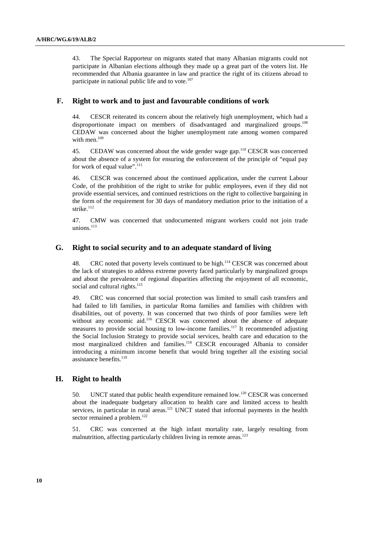43. The Special Rapporteur on migrants stated that many Albanian migrants could not participate in Albanian elections although they made up a great part of the voters list. He recommended that Albania guarantee in law and practice the right of its citizens abroad to participate in national public life and to vote.<sup>107</sup>

## **F. Right to work and to just and favourable conditions of work**

44. CESCR reiterated its concern about the relatively high unemployment, which had a disproportionate impact on members of disadvantaged and marginalized groups.<sup>108</sup> CEDAW was concerned about the higher unemployment rate among women compared with men. $109$ 

45. CEDAW was concerned about the wide gender wage gap.<sup>110</sup> CESCR was concerned about the absence of a system for ensuring the enforcement of the principle of "equal pay for work of equal value".<sup>111</sup>

46. CESCR was concerned about the continued application, under the current Labour Code, of the prohibition of the right to strike for public employees, even if they did not provide essential services, and continued restrictions on the right to collective bargaining in the form of the requirement for 30 days of mandatory mediation prior to the initiation of a strike.<sup>112</sup>

47. CMW was concerned that undocumented migrant workers could not join trade unions. $^{113}$ 

# **G. Right to social security and to an adequate standard of living**

48. CRC noted that poverty levels continued to be high.<sup>114</sup> CESCR was concerned about the lack of strategies to address extreme poverty faced particularly by marginalized groups and about the prevalence of regional disparities affecting the enjoyment of all economic, social and cultural rights.<sup>115</sup>

49. CRC was concerned that social protection was limited to small cash transfers and had failed to lift families, in particular Roma families and families with children with disabilities, out of poverty. It was concerned that two thirds of poor families were left without any economic aid.<sup>116</sup> CESCR was concerned about the absence of adequate measures to provide social housing to low-income families.<sup>117</sup> It recommended adjusting the Social Inclusion Strategy to provide social services, health care and education to the most marginalized children and families.<sup>118</sup> CESCR encouraged Albania to consider introducing a minimum income benefit that would bring together all the existing social assistance benefits.<sup>119</sup>

### **H. Right to health**

50. UNCT stated that public health expenditure remained low.<sup>120</sup> CESCR was concerned about the inadequate budgetary allocation to health care and limited access to health services, in particular in rural areas.<sup>121</sup> UNCT stated that informal payments in the health sector remained a problem.<sup>122</sup>

51. CRC was concerned at the high infant mortality rate, largely resulting from malnutrition, affecting particularly children living in remote areas.<sup>123</sup>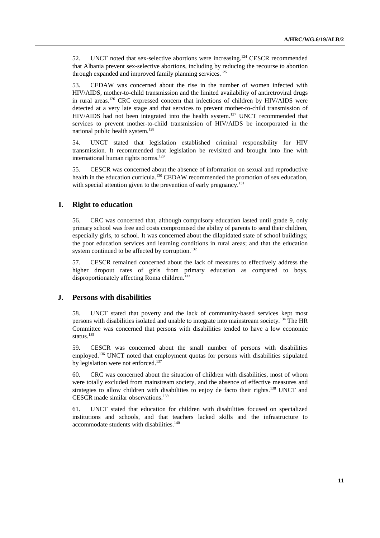52. UNCT noted that sex-selective abortions were increasing.<sup>124</sup> CESCR recommended that Albania prevent sex-selective abortions, including by reducing the recourse to abortion through expanded and improved family planning services.<sup>125</sup>

53. CEDAW was concerned about the rise in the number of women infected with HIV/AIDS, mother-to-child transmission and the limited availability of antiretroviral drugs in rural areas.126 CRC expressed concern that infections of children by HIV/AIDS were detected at a very late stage and that services to prevent mother-to-child transmission of HIV/AIDS had not been integrated into the health system.<sup>127</sup> UNCT recommended that services to prevent mother-to-child transmission of HIV/AIDS be incorporated in the national public health system. $128$ 

54. UNCT stated that legislation established criminal responsibility for HIV transmission. It recommended that legislation be revisited and brought into line with international human rights norms. $129$ 

55. CESCR was concerned about the absence of information on sexual and reproductive health in the education curricula.<sup>130</sup> CEDAW recommended the promotion of sex education, with special attention given to the prevention of early pregnancy.<sup>131</sup>

#### **I. Right to education**

56. CRC was concerned that, although compulsory education lasted until grade 9, only primary school was free and costs compromised the ability of parents to send their children, especially girls, to school. It was concerned about the dilapidated state of school buildings; the poor education services and learning conditions in rural areas; and that the education system continued to be affected by corruption.<sup>132</sup>

57. CESCR remained concerned about the lack of measures to effectively address the higher dropout rates of girls from primary education as compared to boys, disproportionately affecting Roma children.<sup>133</sup>

#### **J. Persons with disabilities**

58. UNCT stated that poverty and the lack of community-based services kept most persons with disabilities isolated and unable to integrate into mainstream society.134 The HR Committee was concerned that persons with disabilities tended to have a low economic status.<sup>135</sup>

59. CESCR was concerned about the small number of persons with disabilities employed.136 UNCT noted that employment quotas for persons with disabilities stipulated by legislation were not enforced.<sup>137</sup>

60. CRC was concerned about the situation of children with disabilities, most of whom were totally excluded from mainstream society, and the absence of effective measures and strategies to allow children with disabilities to enjoy de facto their rights.<sup>138</sup> UNCT and CESCR made similar observations.139

61. UNCT stated that education for children with disabilities focused on specialized institutions and schools, and that teachers lacked skills and the infrastructure to accommodate students with disabilities.<sup>140</sup>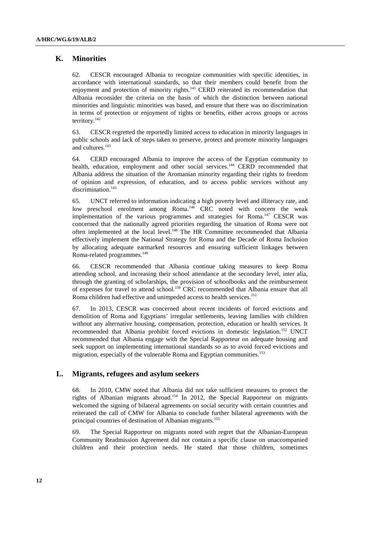# **K. Minorities**

62. CESCR encouraged Albania to recognize communities with specific identities, in accordance with international standards, so that their members could benefit from the enjoyment and protection of minority rights.<sup>141</sup> CERD reiterated its recommendation that Albania reconsider the criteria on the basis of which the distinction between national minorities and linguistic minorities was based, and ensure that there was no discrimination in terms of protection or enjoyment of rights or benefits, either across groups or across territory.142

63. CESCR regretted the reportedly limited access to education in minority languages in public schools and lack of steps taken to preserve, protect and promote minority languages and cultures.<sup>143</sup>

64. CERD encouraged Albania to improve the access of the Egyptian community to health, education, employment and other social services.<sup>144</sup> CERD recommended that Albania address the situation of the Aromanian minority regarding their rights to freedom of opinion and expression, of education, and to access public services without any discrimination.<sup>145</sup>

65. UNCT referred to information indicating a high poverty level and illiteracy rate, and low preschool enrolment among Roma.<sup>146</sup> CRC noted with concern the weak implementation of the various programmes and strategies for Roma.<sup>147</sup> CESCR was concerned that the nationally agreed priorities regarding the situation of Roma were not often implemented at the local level.<sup>148</sup> The HR Committee recommended that Albania effectively implement the National Strategy for Roma and the Decade of Roma Inclusion by allocating adequate earmarked resources and ensuring sufficient linkages between Roma-related programmes.<sup>149</sup>

66. CESCR recommended that Albania continue taking measures to keep Roma attending school, and increasing their school attendance at the secondary level, inter alia, through the granting of scholarships, the provision of schoolbooks and the reimbursement of expenses for travel to attend school.<sup>150</sup> CRC recommended that Albania ensure that all Roma children had effective and unimpeded access to health services.<sup>151</sup>

67. In 2013, CESCR was concerned about recent incidents of forced evictions and demolition of Roma and Egyptians' irregular settlements, leaving families with children without any alternative housing, compensation, protection, education or health services. It recommended that Albania prohibit forced evictions in domestic legislation.152 UNCT recommended that Albania engage with the Special Rapporteur on adequate housing and seek support on implementing international standards so as to avoid forced evictions and migration, especially of the vulnerable Roma and Egyptian communities.<sup>153</sup>

# **L. Migrants, refugees and asylum seekers**

68. In 2010, CMW noted that Albania did not take sufficient measures to protect the rights of Albanian migrants abroad.154 In 2012, the Special Rapporteur on migrants welcomed the signing of bilateral agreements on social security with certain countries and reiterated the call of CMW for Albania to conclude further bilateral agreements with the principal countries of destination of Albanian migrants.155

69. The Special Rapporteur on migrants noted with regret that the Albanian-European Community Readmission Agreement did not contain a specific clause on unaccompanied children and their protection needs. He stated that those children, sometimes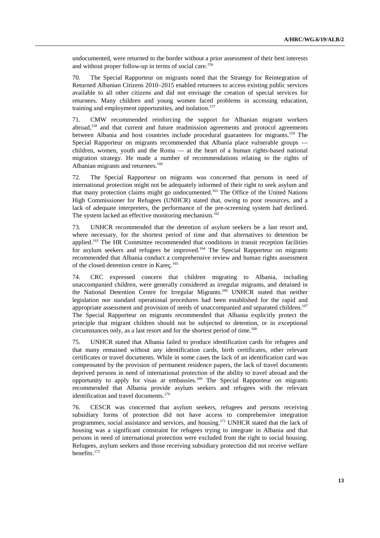undocumented, were returned to the border without a prior assessment of their best interests and without proper follow-up in terms of social care.<sup>156</sup>

70. The Special Rapporteur on migrants noted that the Strategy for Reintegration of Returned Albanian Citizens 2010–2015 enabled returnees to access existing public services available to all other citizens and did not envisage the creation of special services for returnees. Many children and young women faced problems in accessing education, training and employment opportunities, and isolation.<sup>157</sup>

71. CMW recommended reinforcing the support for Albanian migrant workers abroad,158 and that current and future readmission agreements and protocol agreements between Albania and host countries include procedural guarantees for migrants.159 The Special Rapporteur on migrants recommended that Albania place vulnerable groups children, women, youth and the Roma — at the heart of a human rights-based national migration strategy. He made a number of recommendations relating to the rights of Albanian migrants and returnees.<sup>160</sup>

72. The Special Rapporteur on migrants was concerned that persons in need of international protection might not be adequately informed of their right to seek asylum and that many protection claims might go undocumented.161 The Office of the United Nations High Commissioner for Refugees (UNHCR) stated that, owing to poor resources, and a lack of adequate interpreters, the performance of the pre-screening system had declined. The system lacked an effective monitoring mechanism.<sup>162</sup>

73. UNHCR recommended that the detention of asylum seekers be a last resort and, where necessary, for the shortest period of time and that alternatives to detention be applied.<sup>163</sup> The HR Committee recommended that conditions in transit reception facilities for asylum seekers and refugees be improved.<sup>164</sup> The Special Rapporteur on migrants recommended that Albania conduct a comprehensive review and human rights assessment of the closed detention centre in Kareç.165

74. CRC expressed concern that children migrating to Albania, including unaccompanied children, were generally considered as irregular migrants, and detained in the National Detention Centre for Irregular Migrants.166 UNHCR stated that neither legislation nor standard operational procedures had been established for the rapid and appropriate assessment and provision of needs of unaccompanied and separated children.<sup>167</sup> The Special Rapporteur on migrants recommended that Albania explicitly protect the principle that migrant children should not be subjected to detention, or in exceptional circumstances only, as a last resort and for the shortest period of time.<sup>168</sup>

75. UNHCR stated that Albania failed to produce identification cards for refugees and that many remained without any identification cards, birth certificates, other relevant certificates or travel documents. While in some cases the lack of an identification card was compensated by the provision of permanent residence papers, the lack of travel documents deprived persons in need of international protection of the ability to travel abroad and the opportunity to apply for visas at embassies.169 The Special Rapporteur on migrants recommended that Albania provide asylum seekers and refugees with the relevant identification and travel documents.<sup>170</sup>

76. CESCR was concerned that asylum seekers, refugees and persons receiving subsidiary forms of protection did not have access to comprehensive integration programmes, social assistance and services, and housing.171 UNHCR stated that the lack of housing was a significant constraint for refugees trying to integrate in Albania and that persons in need of international protection were excluded from the right to social housing. Refugees, asylum seekers and those receiving subsidiary protection did not receive welfare benefits.172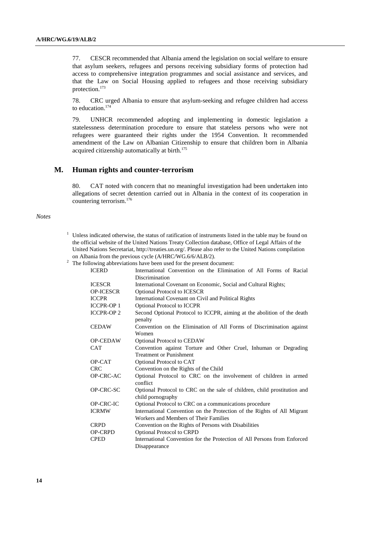77. CESCR recommended that Albania amend the legislation on social welfare to ensure that asylum seekers, refugees and persons receiving subsidiary forms of protection had access to comprehensive integration programmes and social assistance and services, and that the Law on Social Housing applied to refugees and those receiving subsidiary protection.173

78. CRC urged Albania to ensure that asylum-seeking and refugee children had access to education.174

79. UNHCR recommended adopting and implementing in domestic legislation a statelessness determination procedure to ensure that stateless persons who were not refugees were guaranteed their rights under the 1954 Convention. It recommended amendment of the Law on Albanian Citizenship to ensure that children born in Albania acquired citizenship automatically at birth.<sup>175</sup>

#### **M. Human rights and counter-terrorism**

80. CAT noted with concern that no meaningful investigation had been undertaken into allegations of secret detention carried out in Albania in the context of its cooperation in countering terrorism.176

#### *Notes*

- <sup>1</sup> Unless indicated otherwise, the status of ratification of instruments listed in the table may be found on the official website of the United Nations Treaty Collection database, Office of Legal Affairs of the United Nations Secretariat, http://treaties.un.org/. Please also refer to the United Nations compilation on Albania from the previous cycle (A/HRC/WG.6/6/ALB/2).<br><sup>2</sup> The following abbreviations have been used for the present document:
- 

| <b>ICERD</b>     | International Convention on the Elimination of All Forms of Racial                                               |  |  |
|------------------|------------------------------------------------------------------------------------------------------------------|--|--|
|                  | Discrimination                                                                                                   |  |  |
| <b>ICESCR</b>    | International Covenant on Economic, Social and Cultural Rights;                                                  |  |  |
| <b>OP-ICESCR</b> | <b>Optional Protocol to ICESCR</b>                                                                               |  |  |
| <b>ICCPR</b>     | International Covenant on Civil and Political Rights                                                             |  |  |
| <b>ICCPR-OP1</b> | Optional Protocol to ICCPR                                                                                       |  |  |
| <b>ICCPR-OP2</b> | Second Optional Protocol to ICCPR, aiming at the abolition of the death<br>penalty                               |  |  |
| <b>CEDAW</b>     | Convention on the Elimination of All Forms of Discrimination against<br>Women                                    |  |  |
| <b>OP-CEDAW</b>  | <b>Optional Protocol to CEDAW</b>                                                                                |  |  |
| <b>CAT</b>       | Convention against Torture and Other Cruel, Inhuman or Degrading                                                 |  |  |
|                  | <b>Treatment or Punishment</b>                                                                                   |  |  |
| OP-CAT           | Optional Protocol to CAT                                                                                         |  |  |
| <b>CRC</b>       | Convention on the Rights of the Child                                                                            |  |  |
| OP-CRC-AC        | Optional Protocol to CRC on the involvement of children in armed<br>conflict                                     |  |  |
| OP-CRC-SC        | Optional Protocol to CRC on the sale of children, child prostitution and                                         |  |  |
|                  | child pornography                                                                                                |  |  |
| OP-CRC-IC        | Optional Protocol to CRC on a communications procedure                                                           |  |  |
| <b>ICRMW</b>     | International Convention on the Protection of the Rights of All Migrant<br>Workers and Members of Their Families |  |  |
|                  |                                                                                                                  |  |  |
| <b>CRPD</b>      | Convention on the Rights of Persons with Disabilities                                                            |  |  |
| OP-CRPD          | <b>Optional Protocol to CRPD</b>                                                                                 |  |  |
| <b>CPED</b>      | International Convention for the Protection of All Persons from Enforced                                         |  |  |
|                  | Disappearance                                                                                                    |  |  |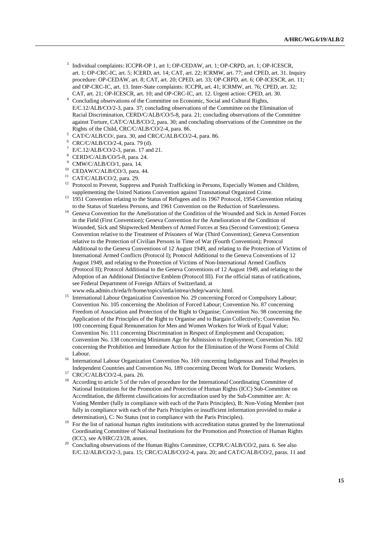- <sup>3</sup> Individual complaints: ICCPR-OP 1, art 1; OP-CEDAW, art. 1; OP-CRPD, art. 1; OP-ICESCR, art. 1; OP-CRC-IC, art. 5; ICERD, art. 14; CAT, art. 22; ICRMW, art. 77; and CPED, art. 31. Inquiry procedure: OP-CEDAW, art. 8; CAT, art. 20; CPED, art. 33; OP-CRPD, art. 6; OP-ICESCR, art. 11; and OP-CRC-IC, art. 13. Inter-State complaints: ICCPR, art. 41; ICRMW, art. 76; CPED, art. 32; CAT, art. 21; OP-ICESCR, art. 10; and OP-CRC-IC, art. 12. Urgent action: CPED, art. 30. 4
- Concluding observations of the Committee on Economic, Social and Cultural Rights, E/C.12/ALB/CO/2-3, para. 37; concluding observations of the Committee on the Elimination of Racial Discrimination, CERD/C/ALB/CO/5-8, para. 21; concluding observations of the Committee against Torture, CAT/C/ALB/CO/2, para. 30; and concluding observations of the Committee on the Rights of the Child, CRC/C/ALB/CO/2-4, para. 86.
- CAT/C/ALB/CO/, para. 30, and CRC/C/ALB/CO/2-4, para. 86.
- 6 CRC/C/ALB/CO/2-4, para. 79 (d).
- $^7$  E/C.12/ALB/CO/2-3, paras. 17 and 21.
- 8 CERD/C/ALB/CO/5-8, para. 24.
- 9 CMW/C/ALB/CO/1, para. 14.
- <sup>10</sup> CEDAW/C/ALB/CO/3, para. 44.
- <sup>11</sup> CAT/C/ALB/CO/2, para. 29.
- <sup>12</sup> Protocol to Prevent, Suppress and Punish Trafficking in Persons, Especially Women and Children,
- supplementing the United Nations Convention against Transnational Organized Crime. 13 1951 Convention relating to the Status of Refugees and its 1967 Protocol, 1954 Convention relating
- to the Status of Stateless Persons, and 1961 Convention on the Reduction of Statelessness. 14 Geneva Convention for the Amelioration of the Condition of the Wounded and Sick in Armed Forces in the Field (First Convention); Geneva Convention for the Amelioration of the Condition of Wounded, Sick and Shipwrecked Members of Armed Forces at Sea (Second Convention); Geneva Convention relative to the Treatment of Prisoners of War (Third Convention); Geneva Convention relative to the Protection of Civilian Persons in Time of War (Fourth Convention); Protocol Additional to the Geneva Conventions of 12 August 1949, and relating to the Protection of Victims of International Armed Conflicts (Protocol I); Protocol Additional to the Geneva Conventions of 12 August 1949, and relating to the Protection of Victims of Non-International Armed Conflicts (Protocol II); Protocol Additional to the Geneva Conventions of 12 August 1949, and relating to the Adoption of an Additional Distinctive Emblem (Protocol III). For the official status of ratifications, see Federal Department of Foreign Affairs of Switzerland, at
- www.eda.admin.ch/eda/fr/home/topics/intla/intrea/chdep/warvic.html. 15 International Labour Organization Convention No. 29 concerning Forced or Compulsory Labour; Convention No. 105 concerning the Abolition of Forced Labour; Convention No. 87 concerning Freedom of Association and Protection of the Right to Organise; Convention No. 98 concerning the Application of the Principles of the Right to Organise and to Bargain Collectively; Convention No. 100 concerning Equal Remuneration for Men and Women Workers for Work of Equal Value; Convention No. 111 concerning Discrimination in Respect of Employment and Occupation; Convention No. 138 concerning Minimum Age for Admission to Employment; Convention No. 182 concerning the Prohibition and Immediate Action for the Elimination of the Worst Forms of Child Labour.<br><sup>16</sup> International Labour Organization Convention No. 169 concerning Indigenous and Tribal Peoples in
- Independent Countries and Convention No. 189 concerning Decent Work for Domestic Workers.<br><sup>17</sup> CRC/C/ALB/CO/2-4, para. 26.<br><sup>18</sup> According to extigle 5 of the rules of procedure for the International Coordination Committee
- 
- 18 According to article 5 of the rules of procedure for the International Coordinating Committee of National Institutions for the Promotion and Protection of Human Rights (ICC) Sub-Committee on Accreditation, the different classifications for accreditation used by the Sub-Committee are: A: Voting Member (fully in compliance with each of the Paris Principles), B: Non-Voting Member (not fully in compliance with each of the Paris Principles or insufficient information provided to make a
- determination), C: No Status (not in compliance with the Paris Principles).<br><sup>19</sup> For the list of national human rights institutions with accreditation status granted by the International Coordinating Committee of National Institutions for the Promotion and Protection of Human Rights
- <sup>20</sup> Concluding observations of the Human Rights Committee, CCPR/C/ALB/CO/2, para. 6. See also E/C.12/ALB/CO/2-3, para. 15; CRC/C/ALB/CO/2-4, para. 20; and CAT/C/ALB/CO/2, paras. 11 and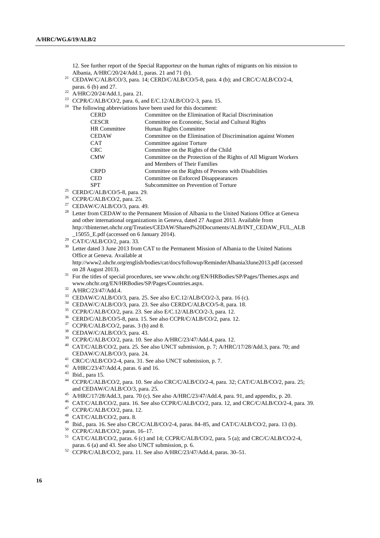12. See further report of the Special Rapporteur on the human rights of migrants on his mission to Albania, A/HRC/20/24/Add.1, paras. 21 and 71 (b).

- <sup>21</sup> CEDAW/C/ALB/CO/3, para. 14; CERD/C/ALB/CO/5-8, para. 4 (b); and CRC/C/ALB/CO/2-4, paras. 6 (b) and 27.
- $p^{22}$  A/HRC/20/24/Add.1, para. 21.
- $^{23}$  CCPR/C/ALB/CO/2, para. 6, and E/C.12/ALB/CO/2-3, para. 15.  $24$  The foll

| The following abbreviations have been used for this document: |                                                                  |  |
|---------------------------------------------------------------|------------------------------------------------------------------|--|
| <b>CERD</b>                                                   | Committee on the Elimination of Racial Discrimination            |  |
| <b>CESCR</b>                                                  | Committee on Economic, Social and Cultural Rights                |  |
| <b>HR</b> Committee                                           | Human Rights Committee                                           |  |
| <b>CEDAW</b>                                                  | Committee on the Elimination of Discrimination against Women     |  |
| <b>CAT</b>                                                    | Committee against Torture                                        |  |
| <b>CRC</b>                                                    | Committee on the Rights of the Child                             |  |
| <b>CMW</b>                                                    | Committee on the Protection of the Rights of All Migrant Workers |  |
|                                                               | and Members of Their Families                                    |  |
| <b>CRPD</b>                                                   | Committee on the Rights of Persons with Disabilities             |  |
| <b>CED</b>                                                    | Committee on Enforced Disappearances                             |  |
| <b>SPT</b>                                                    | Subcommittee on Prevention of Torture                            |  |

- $25$  CERD/C/ALB/CO/5-8, para. 29.
- 26 CCPR/C/ALB/CO/2, para. 25.
- <sup>27</sup> CEDAW/C/ALB/CO/3, para. 49.
- <sup>28</sup> Letter from CEDAW to the Permanent Mission of Albania to the United Nations Office at Geneva and other international organizations in Geneva, dated 27 August 2013. Available from http://tbinternet.ohchr.org/Treaties/CEDAW/Shared%20Documents/ALB/INT\_CEDAW\_FUL\_ALB  $\_15055\_E.pdf$  (accessed on 6 January 2014).<br><sup>29</sup> CAT/C/ALB/CO/2, para. 33.
- 
- <sup>30</sup> Letter dated 3 June 2013 from CAT to the Permanent Mission of Albania to the United Nations Office at Geneva. Available at

http://www2.ohchr.org/english/bodies/cat/docs/followup/ReminderAlbania3June2013.pdf (accessed on 28 August 2013).<br><sup>31</sup> For the titles of special procedures, see www.ohchr.org/EN/HRBodies/SP/Pages/Themes.aspx and

- www.ohchr.org/EN/HRBodies/SP/Pages/Countries.aspx. 32 A/HRC/23/47/Add.4.
- 
- 33 CEDAW/C/ALB/CO/3, para. 25. See also E/C.12/ALB/CO/2-3, para. 16 (c).
- 34 CEDAW/C/ALB/CO/3, para. 23. See also CERD/C/ALB/CO/5-8, para. 18.
- 35 CCPR/C/ALB/CO/2, para. 23. See also E/C.12/ALB/CO/2-3, para. 12.
- 36 CERD/C/ALB/CO/5-8, para. 15. See also CCPR/C/ALB/CO/2, para. 12.
- $37$  CCPR/C/ALB/CO/2, paras. 3 (b) and 8.
- 38 CEDAW/C/ALB/CO/3, para. 43.
- 39 CCPR/C/ALB/CO/2, para. 10. See also A/HRC/23/47/Add.4, para. 12.
- <sup>40</sup> CAT/C/ALB/CO/2, para. 25. See also UNCT submission, p. 7; A/HRC/17/28/Add.3, para. 70; and CEDAW/C/ALB/CO/3, para. 24.<br><sup>41</sup> CRC/C/ALB/CO/2-4, para. 31. See also UNCT submission, p. 7.
- 
- 42 A/HRC/23/47/Add.4, paras. 6 and 16.
- 43 Ibid., para 15.
- 44 CCPR/C/ALB/CO/2, para. 10. See also CRC/C/ALB/CO/2-4, para. 32; CAT/C/ALB/CO/2, para. 25; and CEDAW/C/ALB/CO/3, para. 25.<br>45 A/HRC/17/28/Add.3, para. 70 (c). See also A/HRC/23/47/Add.4, para. 91, and appendix, p. 20.
- 
- 46 CAT/C/ALB/CO/2, para. 16. See also CCPR/C/ALB/CO/2, para. 12, and CRC/C/ALB/CO/2-4, para. 39.
- 47 CCPR/C/ALB/CO/2, para. 12.
- 48 CAT/C/ALB/CO/2, para. 8.
- <sup>49</sup> Ibid., para. 16. See also CRC/C/ALB/CO/2-4, paras. 84–85, and CAT/C/ALB/CO/2, para. 13 (b).
- 50 CCPR/C/ALB/CO/2, paras. 16–17.
- <sup>51</sup> CAT/C/ALB/CO/2, paras. 6 (c) and 14; CCPR/C/ALB/CO/2, para. 5 (a); and CRC/C/ALB/CO/2-4, paras. 6 (a) and 43. See also UNCT submission, p. 6.
- $52$  CCPR/C/ALB/CO/2, para. 11. See also A/HRC/23/47/Add.4, paras. 30–51.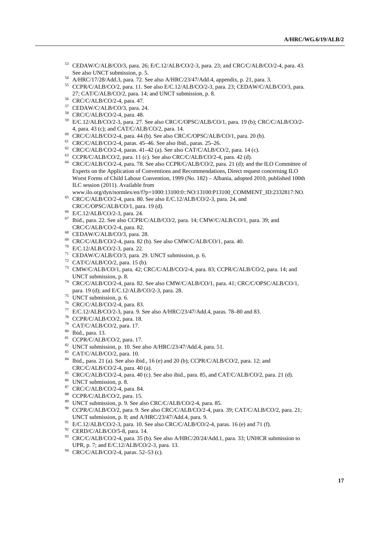- <sup>53</sup> CEDAW/C/ALB/CO/3, para. 26; E/C.12/ALB/CO/2-3, para. 23; and CRC/C/ALB/CO/2-4, para. 43.<br>See also UNCT submission, p. 5.
- 
- <sup>54</sup> A/HRC/17/28/Add.3, para. 72. See also A/HRC/23/47/Add.4, appendix, p. 21, para. 3.<br><sup>55</sup> CCPR/C/ALB/CO/2, para. 11. See also E/C.12/ALB/CO/2-3, para. 23; CEDAW/C/ALB/CO/3, para. 27; CAT/C/ALB/CO/2, para. 14; and UNCT submission, p. 8. 56 CRC/C/ALB/CO/2-4, para. 47.
- 
- 57 CEDAW/C/ALB/CO/3, para. 24.
- 58 CRC/C/ALB/CO/2-4, para. 48.
- <sup>59</sup> E/C.12/ALB/CO/2-3, para. 27. See also CRC/C/OPSC/ALB/CO/1, para. 19 (b); CRC/C/ALB/CO/2-<br>4, para. 43 (c); and CAT/C/ALB/CO/2, para. 14.
- $^{60}$  CRC/C/ALB/CO/2-4, para. 44 (b). See also CRC/C/OPSC/ALB/CO/1, para. 20 (b).
- 
- <sup>61</sup> CRC/C/ALB/CO/2-4, paras. 45–46. See also ibid., paras. 25–26.<br><sup>62</sup> CRC/C/ALB/CO/2-4, paras. 41–42 (a). See also CAT/C/ALB/CO/2, para. 14 (c).
- $63$  CCPR/C/ALB/CO/2, para. 11 (c). See also CRC/C/ALB/CO/2-4, para. 42 (d).
- 64 CRC/C/ALB/CO/2-4, para. 78. See also CCPR/C/ALB/CO/2, para. 21 (d); and the ILO Committee of Experts on the Application of Conventions and Recommendations, Direct request concerning ILO Worst Forms of Child Labour Convention, 1999 (No. 182) – Albania, adopted 2010, published 100th ILC session (2011). Available from<br>www.ilo.org/dyn/normlex/en/f?p=1000:13100:0::NO:13100:P13100 COMMENT ID:2332817:NO.
- $^{65}$  CRC/C/ALB/CO/2-4, para. 80. See also E/C.12/ALB/CO/2-3, para. 24, and
- CRC/C/OPSC/ALB/CO/1, para. 19 (d). 66 E/C.12/ALB/CO/2-3, para. 24.
- 
- 67 Ibid., para. 22. See also CCPR/C/ALB/CO/2, para. 14; CMW/C/ALB/CO/1, para. 39; and CRC/C/ALB/CO/2-4, para. 82. 68 CEDAW/C/ALB/CO/3, para. 28.
- 
- $69$  CRC/C/ALB/CO/2-4, para. 82 (b). See also CMW/C/ALB/CO/1, para. 40.
- 70 E/C.12/ALB/CO/2-3, para. 22.
- 71 CEDAW/C/ALB/CO/3, para. 29. UNCT submission, p. 6.
- $72$  CAT/C/ALB/CO/2, para. 15 (b).
- 73 CMW/C/ALB/CO/1, para. 42; CRC/C/ALB/CO/2-4, para. 83; CCPR/C/ALB/CO/2, para. 14; and
- UNCT submission, p. 8.<br>
<sup>74</sup> CRC/C/ALB/CO/2-4, para. 82. See also CMW/C/ALB/CO/1, para. 41; CRC/C/OPSC/ALB/CO/1, para. 19 (d); and E/C.12/ALB/CO/2-3, para. 28.
- para.  $1 \times (d)$ ,  $d_{max} = 1$ .<br><sup>75</sup> UNCT submission, p. 6.
- 76 CRC/C/ALB/CO/2-4, para. 83.
- 77 E/C.12/ALB/CO/2-3, para. 9. See also A/HRC/23/47/Add.4, paras. 78–80 and 83.
- 78 CCPR/C/ALB/CO/2, para. 18.
- 79 CAT/C/ALB/CO/2, para. 17.
- 80 Ibid., para. 13.
- $81$  CCPR/C/ALB/CO/2, para. 17.
- 82 UNCT submission, p. 10. See also A/HRC/23/47/Add.4, para. 51.
- 83 CAT/C/ALB/CO/2, para. 10.
- <sup>84</sup> Ibid., para. 21 (a). See also ibid., 16 (e) and 20 (b); CCPR/C/ALB/CO/2, para. 12; and CRC/C/ALB/CO/2-4, para. 40 (a).
- <sup>85</sup> CRC/C/ALB/CO/2-4, para. 40 (c). See also ibid., para. 85, and CAT/C/ALB/CO/2, para. 21 (d). <sup>86</sup> UNCT submission, p. 8.
- 
- 87 CRC/C/ALB/CO/2-4, para. 84.
- 88 CCPR/C/ALB/CO/2, para. 15.
- 89 UNCT submission, p. 9. See also CRC/C/ALB/CO/2-4, para. 85.
- <sup>90</sup> CCPR/C/ALB/CO/2, para. 9. See also CRC/C/ALB/CO/2-4, para. 39; CAT/C/ALB/CO/2, para. 21; UNCT submission, p. 8; and A/HRC/23/47/Add.4, para. 9.<br><sup>91</sup> E/C.12/ALB/CO/2-3, para. 10. See also CRC/C/ALB/CO/2-4, paras. 16 (e) and 71 (f).<br><sup>92</sup> CERD/C/ALB/CO/5-8, para. 14.
- 
- 
- <sup>93</sup> CRC/C/ALB/CO/2-4, para. 35 (b). See also A/HRC/20/24/Add.1, para. 33; UNHCR submission to UPR. p. 7: and E/C.12/ALB/CO/2-3. para. 13.
- $P<sup>94</sup>$  CRC/C/ALB/CO/2-4, paras. 52–53 (c).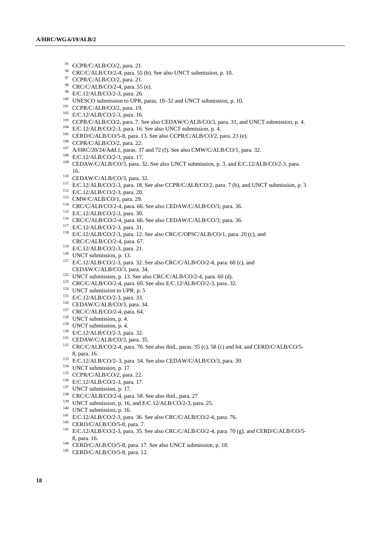- <sup>95</sup> CCPR/C/ALB/CO/2, para. 21.
- 96 CRC/C/ALB/CO/2-4, para. 55 (b). See also UNCT submission, p. 10.
- 97 CCPR/C/ALB/CO/2, para. 21.
- <sup>98</sup> CRC/C/ALB/CO/2-4, para. 55 (e).<br><sup>99</sup> E/C.12/ALB/CO/2-3, para. 26.
- 
- 
- 
- 
- 
- 
- 
- 
- 
- 
- <sup>100</sup> UNESCO submission to UPR, paras. 18–32 and UNCT submission, p. 10.<br><sup>101</sup> CCPR/C/ALB/CO/2, para. 19.<br><sup>102</sup> E/C.12/ALB/CO/2-3, para. 16.<br><sup>103</sup> CCPR/C/ALB/CO/2-3, para. 7. See also CEDAW/C/ALB/CO/3, para. 31, and UNCT 16.<br>
110 CEDAW/C/ALB/CO/3, para. 32.<br>
111 E/C.12/ALB/CO/2-3, para. 18. See also CCPR/C/ALB/CO/2, para. 7 (b), and UNCT submission, p. 3<br>
112 E/C.12/ALB/CO/2-3, para. 20.<br>
113 CMW/C/ALB/CO/1, para. 66. See also CEDAW/C/ALB/
- 
- 
- 
- 
- 
- 
- 
- 
- CRC/C/ALB/CO/2-4, para. 67.<br>
<sup>119</sup> E/C.12/ALB/CO/2-3, para. 21.<br>
<sup>120</sup> UNCT submission, p. 13.<br>
<sup>121</sup> E/C.12/ALB/CO/2-3, para. 32. See also CRC/C/ALB/CO/2-4, para. 60 (c), and
- 
- 
- 
- 
- 
- 
- 
- 
- 
- 
- 
- 
- 
- CEDAW/C/ALB/CO/3, para. 34.<br>
<sup>122</sup> UNCT submission, p. 13. See also CRC/C/ALB/CO/2-4, para. 60 (d).<br>
<sup>123</sup> CRC/C/ALB/CO/2-4, para. 60. See also E/C.12/ALB/CO/2-3, para. 32.<br>
<sup>124</sup> UNCT submission to UPR, p. 5<br>
<sup>125</sup> E/C.12 8, para. 16.<br>
133 E/C.12/ALB/CO/2-3, para. 34. See also CEDAW/C/ALB/CO/3, para. 30.<br>
134 UNCT submission, p. 17.<br>
135 CCPR/C/ALB/CO/2, para. 22.<br>
136 E/C.12/ALB/CO/2-3, para. 17.<br>
137 CCPR/C/ALB/CO/2-4, para. 58. See also
- 
- 
- 
- 
- 
- 
- 
- 
- 
- 
- 8, para. 16. 144 CERD/C/ALB/CO/5-8, para. 17. See also UNCT submission, p. 18. 145 CERD/C/ALB/CO/5-8, para. 12.
- 
-